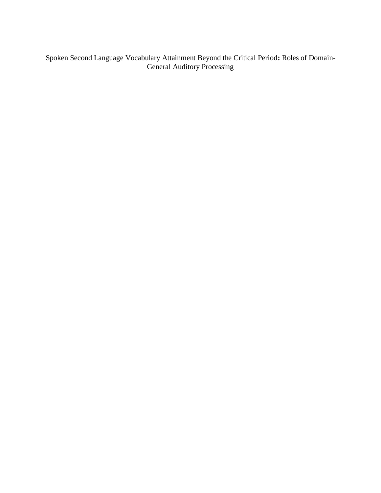Spoken Second Language Vocabulary Attainment Beyond the Critical Period**:** Roles of Domain-General Auditory Processing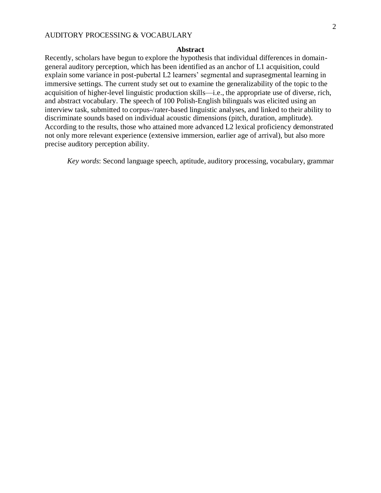# **Abstract**

Recently, scholars have begun to explore the hypothesis that individual differences in domaingeneral auditory perception, which has been identified as an anchor of L1 acquisition, could explain some variance in post-pubertal L2 learners' segmental and suprasegmental learning in immersive settings. The current study set out to examine the generalizability of the topic to the acquisition of higher-level linguistic production skills—i.e., the appropriate use of diverse, rich, and abstract vocabulary. The speech of 100 Polish-English bilinguals was elicited using an interview task, submitted to corpus-/rater-based linguistic analyses, and linked to their ability to discriminate sounds based on individual acoustic dimensions (pitch, duration, amplitude). According to the results, those who attained more advanced L2 lexical proficiency demonstrated not only more relevant experience (extensive immersion, earlier age of arrival), but also more precise auditory perception ability.

*Key words*: Second language speech, aptitude, auditory processing, vocabulary, grammar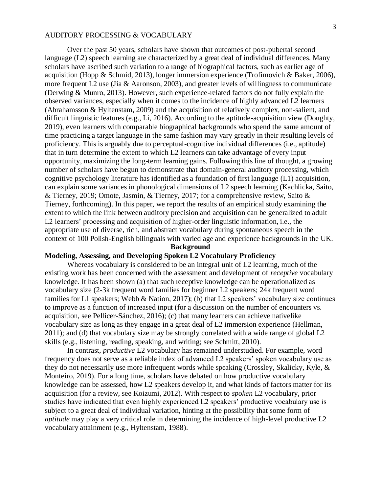Over the past 50 years, scholars have shown that outcomes of post-pubertal second language (L2) speech learning are characterized by a great deal of individual differences. Many scholars have ascribed such variation to a range of biographical factors, such as earlier age of acquisition (Hopp & Schmid, 2013), longer immersion experience (Trofimovich & Baker, 2006), more frequent L2 use (Jia & Aaronson, 2003), and greater levels of willingness to communicate (Derwing & Munro, 2013). However, such experience-related factors do not fully explain the observed variances, especially when it comes to the incidence of highly advanced L2 learners (Abrahamsson & Hyltenstam, 2009) and the acquisition of relatively complex, non-salient, and difficult linguistic features (e.g., Li, 2016). According to the aptitude-acquisition view (Doughty, 2019), even learners with comparable biographical backgrounds who spend the same amount of time practicing a target language in the same fashion may vary greatly in their resulting levels of proficiency. This is arguably due to perceptual-cognitive individual differences (i.e., aptitude) that in turn determine the extent to which L2 learners can take advantage of every input opportunity, maximizing the long-term learning gains. Following this line of thought, a growing number of scholars have begun to demonstrate that domain-general auditory processing, which cognitive psychology literature has identified as a foundation of first language (L1) acquisition, can explain some variances in phonological dimensions of L2 speech learning (Kachlicka, Saito, & Tierney, 2019; Omote, Jasmin, & Tierney, 2017; for a comprehensive review, Saito & Tierney, forthcoming). In this paper, we report the results of an empirical study examining the extent to which the link between auditory precision and acquisition can be generalized to adult L2 learners' processing and acquisition of higher-order linguistic information, i.e., the appropriate use of diverse, rich, and abstract vocabulary during spontaneous speech in the context of 100 Polish-English bilinguals with varied age and experience backgrounds in the UK.

# **Background**

# **Modeling, Assessing, and Developing Spoken L2 Vocabulary Proficiency**

Whereas vocabulary is considered to be an integral unit of L2 learning, much of the existing work has been concerned with the assessment and development of *receptive* vocabulary knowledge. It has been shown (a) that such receptive knowledge can be operationalized as vocabulary size (2-3k frequent word families for beginner L2 speakers; 24k frequent word families for L1 speakers; Webb & Nation, 2017); (b) that L2 speakers' vocabulary size continues to improve as a function of increased input (for a discussion on the number of encounters vs. acquisition, see Pellicer-Sánchez, 2016); (c) that many learners can achieve nativelike vocabulary size as long as they engage in a great deal of L2 immersion experience (Hellman, 2011); and (d) that vocabulary size may be strongly correlated with a wide range of global L2 skills (e.g., listening, reading, speaking, and writing; see Schmitt, 2010).

In contrast, *productive* L2 vocabulary has remained understudied. For example, word frequency does not serve as a reliable index of advanced L2 speakers' spoken vocabulary use as they do not necessarily use more infrequent words while speaking (Crossley, Skalicky, Kyle, & Monteiro, 2019). For a long time, scholars have debated on how productive vocabulary knowledge can be assessed, how L2 speakers develop it, and what kinds of factors matter for its acquisition (for a review, see Koizumi, 2012). With respect to *spoken* L2 vocabulary, prior studies have indicated that even highly experienced L2 speakers' productive vocabulary use is subject to a great deal of individual variation, hinting at the possibility that some form of *aptitude* may play a very critical role in determining the incidence of high-level productive L2 vocabulary attainment (e.g., Hyltenstam, 1988).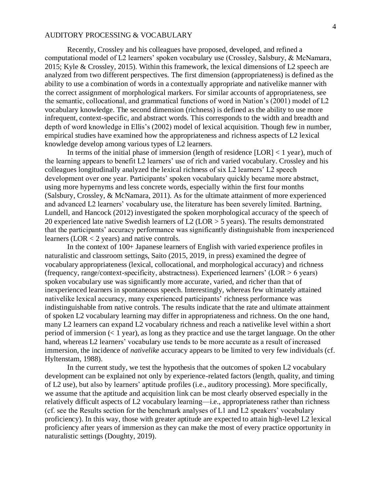Recently, Crossley and his colleagues have proposed, developed, and refined a computational model of L2 learners' spoken vocabulary use (Crossley, Salsbury, & McNamara, 2015; Kyle & Crossley, 2015). Within this framework, the lexical dimensions of L2 speech are analyzed from two different perspectives. The first dimension (appropriateness) is defined as the ability to use a combination of words in a contextually appropriate and nativelike manner with the correct assignment of morphological markers. For similar accounts of appropriateness, see the semantic, collocational, and grammatical functions of word in Nation's (2001) model of L2 vocabulary knowledge. The second dimension (richness) is defined as the ability to use more infrequent, context-specific, and abstract words. This corresponds to the width and breadth and depth of word knowledge in Ellis's (2002) model of lexical acquisition. Though few in number, empirical studies have examined how the appropriateness and richness aspects of L2 lexical knowledge develop among various types of L2 learners.

In terms of the initial phase of immersion (length of residence  $[LOR] < 1$  year), much of the learning appears to benefit L2 learners' use of rich and varied vocabulary. Crossley and his colleagues longitudinally analyzed the lexical richness of six L2 learners' L2 speech development over one year. Participants' spoken vocabulary quickly became more abstract, using more hypernyms and less concrete words, especially within the first four months (Salsbury, Crossley, & McNamara, 2011). As for the ultimate attainment of more experienced and advanced L2 learners' vocabulary use, the literature has been severely limited. Bartning, Lundell, and Hancock (2012) investigated the spoken morphological accuracy of the speech of 20 experienced late native Swedish learners of L2 (LOR > 5 years). The results demonstrated that the participants' accuracy performance was significantly distinguishable from inexperienced learners (LOR < 2 years) and native controls.

In the context of 100+ Japanese learners of English with varied experience profiles in naturalistic and classroom settings, Saito (2015, 2019, in press) examined the degree of vocabulary appropriateness (lexical, collocational, and morphological accuracy) and richness (frequency, range/context-specificity, abstractness). Experienced learners' (LOR > 6 years) spoken vocabulary use was significantly more accurate, varied, and richer than that of inexperienced learners in spontaneous speech. Interestingly, whereas few ultimately attained nativelike lexical accuracy, many experienced participants' richness performance was indistinguishable from native controls. The results indicate that the rate and ultimate attainment of spoken L2 vocabulary learning may differ in appropriateness and richness. On the one hand, many L2 learners can expand L2 vocabulary richness and reach a nativelike level within a short period of immersion  $(1$  year), as long as they practice and use the target language. On the other hand, whereas L2 learners' vocabulary use tends to be more accurate as a result of increased immersion, the incidence of *nativelike* accuracy appears to be limited to very few individuals (cf. Hyltenstam, 1988).

In the current study, we test the hypothesis that the outcomes of spoken L2 vocabulary development can be explained not only by experience-related factors (length, quality, and timing of L2 use), but also by learners' aptitude profiles (i.e., auditory processing). More specifically, we assume that the aptitude and acquisition link can be most clearly observed especially in the relatively difficult aspects of L2 vocabulary learning—i.e., appropriateness rather than richness (cf. see the Results section for the benchmark analyses of L1 and L2 speakers' vocabulary proficiency). In this way, those with greater aptitude are expected to attain high-level L2 lexical proficiency after years of immersion as they can make the most of every practice opportunity in naturalistic settings (Doughty, 2019).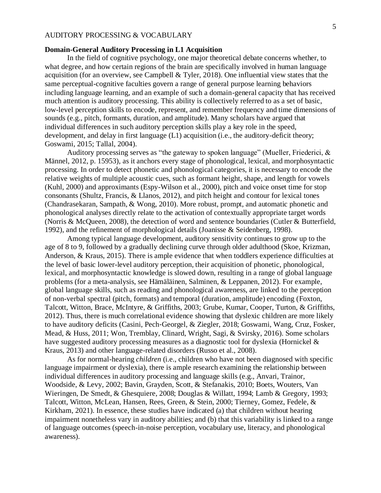# **Domain-General Auditory Processing in L1 Acquisition**

In the field of cognitive psychology, one major theoretical debate concerns whether, to what degree, and how certain regions of the brain are specifically involved in human language acquisition (for an overview, see Campbell & Tyler, 2018). One influential view states that the same perceptual-cognitive faculties govern a range of general purpose learning behaviors including language learning, and an example of such a domain-general capacity that has received much attention is auditory processing. This ability is collectively referred to as a set of basic, low-level perception skills to encode, represent, and remember frequency and time dimensions of sounds (e.g., pitch, formants, duration, and amplitude). Many scholars have argued that individual differences in such auditory perception skills play a key role in the speed, development, and delay in first language (L1) acquisition (i.e., the auditory-deficit theory; Goswami, 2015; Tallal, 2004).

Auditory processing serves as "the gateway to spoken language" (Mueller, Friederici, & Männel, 2012, p. 15953), as it anchors every stage of phonological, lexical, and morphosyntactic processing. In order to detect phonetic and phonological categories, it is necessary to encode the relative weights of multiple acoustic cues, such as formant height, shape, and length for vowels (Kuhl, 2000) and approximants (Espy-Wilson et al., 2000), pitch and voice onset time for stop consonants (Shultz, Francis, & Llanos, 2012), and pitch height and contour for lexical tones (Chandrasekaran, Sampath, & Wong, 2010). More robust, prompt, and automatic phonetic and phonological analyses directly relate to the activation of contextually appropriate target words (Norris & McQueen, 2008), the detection of word and sentence boundaries (Cutler & Butterfield, 1992), and the refinement of morphological details (Joanisse & Seidenberg, 1998).

Among typical language development, auditory sensitivity continues to grow up to the age of 8 to 9, followed by a gradually declining curve through older adulthood (Skoe, Krizman, Anderson, & Kraus, 2015). There is ample evidence that when toddlers experience difficulties at the level of basic lower-level auditory perception, their acquisition of phonetic, phonological, lexical, and morphosyntactic knowledge is slowed down, resulting in a range of global language problems (for a meta-analysis, see Hämäläinen, Salminen, & Leppanen, 2012). For example, global language skills, such as reading and phonological awareness, are linked to the perception of non-verbal spectral (pitch, formats) and temporal (duration, amplitude) encoding (Foxton, Talcott, Witton, Brace, McIntyre, & Griffiths, 2003; Grube, Kumar, Cooper, Turton, & Griffiths, 2012). Thus, there is much correlational evidence showing that dyslexic children are more likely to have auditory deficits (Casini, Pech‐Georgel, & Ziegler, 2018; Goswami, Wang, Cruz, Fosker, Mead, & Huss, 2011; Won, Tremblay, Clinard, Wright, Sagi, & Svirsky, 2016). Some scholars have suggested auditory processing measures as a diagnostic tool for dyslexia (Hornickel & Kraus, 2013) and other language-related disorders (Russo et al., 2008).

As for normal-hearing *children* (i.e., children who have not been diagnosed with specific language impairment or dyslexia), there is ample research examining the relationship between individual differences in auditory processing and language skills (e.g., Anvari, Trainor, Woodside, & Levy, 2002; Bavin, Grayden, Scott, & Stefanakis, 2010; Boets, Wouters, Van Wieringen, De Smedt, & Ghesquiere, 2008; Douglas & Willatt, 1994; Lamb & Gregory, 1993; Talcott, Witton, McLean, Hansen, Rees, Green, & Stein, 2000; Tierney, Gomez, Fedele, & Kirkham, 2021). In essence, these studies have indicated (a) that children without hearing impairment nonetheless vary in auditory abilities; and (b) that this variability is linked to a range of language outcomes (speech-in-noise perception, vocabulary use, literacy, and phonological awareness).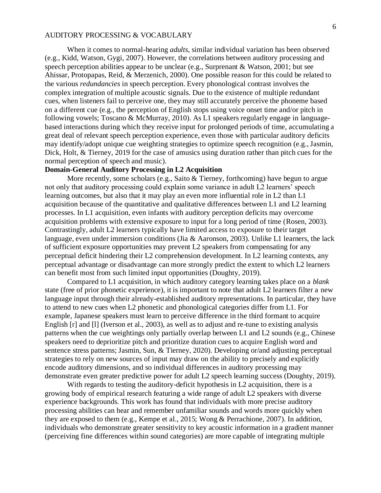When it comes to normal-hearing *adults,* similar individual variation has been observed (e.g., Kidd, Watson, Gygi, 2007). However, the correlations between auditory processing and speech perception abilities appear to be unclear (e.g., Surprenant & Watson, 2001; but see Ahissar, Protopapas, Reid, & Merzenich, 2000). One possible reason for this could be related to the various *redundancies* in speech perception. Every phonological contrast involves the complex integration of multiple acoustic signals. Due to the existence of multiple redundant cues, when listeners fail to perceive one, they may still accurately perceive the phoneme based on a different cue (e.g., the perception of English stops using voice onset time and/or pitch in following vowels; Toscano & McMurray, 2010). As L1 speakers regularly engage in languagebased interactions during which they receive input for prolonged periods of time, accumulating a great deal of relevant speech perception experience, even those with particular auditory deficits may identify/adopt unique cue weighting strategies to optimize speech recognition (e.g., Jasmin, Dick, Holt, & Tierney, 2019 for the case of amusics using duration rather than pitch cues for the normal perception of speech and music).

# **Domain-General Auditory Processing in L2 Acquisition**

More recently, some scholars (e.g., Saito & Tierney, forthcoming) have begun to argue not only that auditory processing could explain some variance in adult L2 learners' speech learning outcomes, but also that it may play an even more influential role in L2 than L1 acquisition because of the quantitative and qualitative differences between L1 and L2 learning processes. In L1 acquisition, even infants with auditory perception deficits may overcome acquisition problems with extensive exposure to input for a long period of time (Rosen, 2003). Contrastingly, adult L2 learners typically have limited access to exposure to their target language, even under immersion conditions (Jia & Aaronson, 2003). Unlike L1 learners, the lack of sufficient exposure opportunities may prevent L2 speakers from compensating for any perceptual deficit hindering their L2 comprehension development. In L2 learning contexts, any perceptual advantage or disadvantage can more strongly predict the extent to which L2 learners can benefit most from such limited input opportunities (Doughty, 2019).

Compared to L1 acquisition, in which auditory category learning takes place on a *blank* state (free of prior phonetic experience), it is important to note that adult L2 learners filter a new language input through their already-established auditory representations. In particular, they have to attend to new cues when L2 phonetic and phonological categories differ from L1. For example, Japanese speakers must learn to perceive difference in the third formant to acquire English [r] and [l] (Iverson et al., 2003), as well as to adjust and re-tune to existing analysis patterns when the cue weightings only partially overlap between L1 and L2 sounds (e.g., Chinese speakers need to deprioritize pitch and prioritize duration cues to acquire English word and sentence stress patterns; Jasmin, Sun, & Tierney, 2020). Developing or/and adjusting perceptual strategies to rely on new sources of input may draw on the ability to precisely and explicitly encode auditory dimensions, and so individual differences in auditory processing may demonstrate even greater predictive power for adult L2 speech learning success (Doughty, 2019).

With regards to testing the auditory-deficit hypothesis in L2 acquisition, there is a growing body of empirical research featuring a wide range of adult L2 speakers with diverse experience backgrounds. This work has found that individuals with more precise auditory processing abilities can hear and remember unfamiliar sounds and words more quickly when they are exposed to them (e.g., Kempe et al., 2015; Wong & Perrachione, 2007). In addition, individuals who demonstrate greater sensitivity to key acoustic information in a gradient manner (perceiving fine differences within sound categories) are more capable of integrating multiple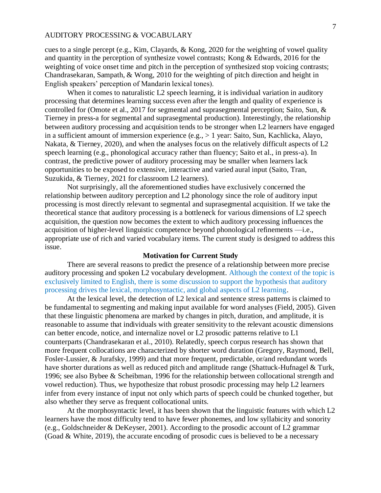cues to a single percept (e.g., Kim, Clayards, & Kong, 2020 for the weighting of vowel quality and quantity in the perception of synthesize vowel contrasts; Kong & Edwards, 2016 for the weighting of voice onset time and pitch in the perception of synthesized stop voicing contrasts; Chandrasekaran, Sampath, & Wong, 2010 for the weighting of pitch direction and height in English speakers' perception of Mandarin lexical tones).

When it comes to naturalistic L2 speech learning, it is individual variation in auditory processing that determines learning success even after the length and quality of experience is controlled for (Omote et al., 2017 for segmental and suprasegmental perception; Saito, Sun, & Tierney in press-a for segmental and suprasegmental production). Interestingly, the relationship between auditory processing and acquisition tends to be stronger when L2 learners have engaged in a sufficient amount of immersion experience (e.g., > 1 year: Saito, Sun, Kachlicka, Alayo, Nakata, & Tierney, 2020), and when the analyses focus on the relatively difficult aspects of L2 speech learning (e.g., phonological accuracy rather than fluency; Saito et al., in press-a). In contrast, the predictive power of auditory processing may be smaller when learners lack opportunities to be exposed to extensive, interactive and varied aural input (Saito, Tran, Suzukida, & Tierney, 2021 for classroom L2 learners).

Not surprisingly, all the aforementioned studies have exclusively concerned the relationship between auditory perception and L2 phonology since the role of auditory input processing is most directly relevant to segmental and suprasegmental acquisition. If we take the theoretical stance that auditory processing is a bottleneck for various dimensions of L2 speech acquisition, the question now becomes the extent to which auditory processing influences the acquisition of higher-level linguistic competence beyond phonological refinements —i.e., appropriate use of rich and varied vocabulary items. The current study is designed to address this issue.

# **Motivation for Current Study**

There are several reasons to predict the presence of a relationship between more precise auditory processing and spoken L2 vocabulary development. Although the context of the topic is exclusively limited to English, there is some discussion to support the hypothesis that auditory processing drives the lexical, morphosyntactic, and global aspects of L2 learning.

At the lexical level, the detection of L2 lexical and sentence stress patterns is claimed to be fundamental to segmenting and making input available for word analyses (Field, 2005). Given that these linguistic phenomena are marked by changes in pitch, duration, and amplitude, it is reasonable to assume that individuals with greater sensitivity to the relevant acoustic dimensions can better encode, notice, and internalize novel or L2 prosodic patterns relative to L1 counterparts (Chandrasekaran et al., 2010). Relatedly, speech corpus research has shown that more frequent collocations are characterized by shorter word duration (Gregory, Raymond, Bell, Fosler-Lussier, & Jurafsky, 1999) and that more frequent, predictable, or/and redundant words have shorter durations as well as reduced pitch and amplitude range (Shattuck-Hufnagel & Turk, 1996; see also Bybee & Scheibman, 1996 for the relationship between collocational strength and vowel reduction). Thus, we hypothesize that robust prosodic processing may help L2 learners infer from every instance of input not only which parts of speech could be chunked together, but also whether they serve as frequent collocational units.

At the morphosyntactic level, it has been shown that the linguistic features with which L2 learners have the most difficulty tend to have fewer phonemes, and low syllabicity and sonority (e.g., Goldschneider & DeKeyser, 2001). According to the prosodic account of L2 grammar (Goad & White, 2019), the accurate encoding of prosodic cues is believed to be a necessary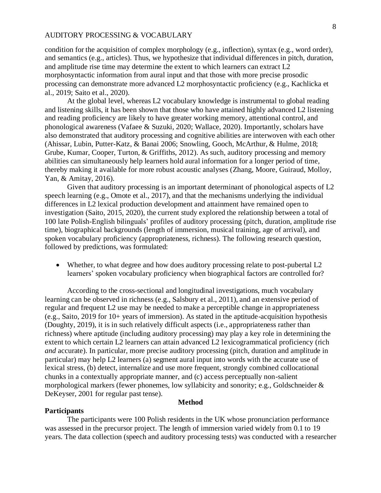condition for the acquisition of complex morphology (e.g., inflection), syntax (e.g., word order), and semantics (e.g., articles). Thus, we hypothesize that individual differences in pitch, duration, and amplitude rise time may determine the extent to which learners can extract L2 morphosyntactic information from aural input and that those with more precise prosodic processing can demonstrate more advanced L2 morphosyntactic proficiency (e.g., Kachlicka et al., 2019; Saito et al., 2020).

At the global level, whereas L2 vocabulary knowledge is instrumental to global reading and listening skills, it has been shown that those who have attained highly advanced L2 listening and reading proficiency are likely to have greater working memory, attentional control, and phonological awareness (Vafaee & Suzuki, 2020; Wallace, 2020). Importantly, scholars have also demonstrated that auditory processing and cognitive abilities are interwoven with each other (Ahissar, Lubin, Putter-Katz, & Banai 2006; Snowling, Gooch, McArthur, & Hulme, 2018; Grube, Kumar, Cooper, Turton, & Griffiths, 2012). As such, auditory processing and memory abilities can simultaneously help learners hold aural information for a longer period of time, thereby making it available for more robust acoustic analyses (Zhang, Moore, Guiraud, Molloy, Yan, & Amitay, 2016).

Given that auditory processing is an important determinant of phonological aspects of L2 speech learning (e.g., Omote et al., 2017), and that the mechanisms underlying the individual differences in L2 lexical production development and attainment have remained open to investigation (Saito, 2015, 2020), the current study explored the relationship between a total of 100 late Polish-English bilinguals' profiles of auditory processing (pitch, duration, amplitude rise time), biographical backgrounds (length of immersion, musical training, age of arrival), and spoken vocabulary proficiency (appropriateness, richness). The following research question, followed by predictions, was formulated:

• Whether, to what degree and how does auditory processing relate to post-pubertal L2 learners' spoken vocabulary proficiency when biographical factors are controlled for?

According to the cross-sectional and longitudinal investigations, much vocabulary learning can be observed in richness (e.g., Salsbury et al., 2011), and an extensive period of regular and frequent L2 use may be needed to make a perceptible change in appropriateness (e.g., Saito, 2019 for 10+ years of immersion). As stated in the aptitude-acquisition hypothesis (Doughty, 2019), it is in such relatively difficult aspects (i.e., appropriateness rather than richness) where aptitude (including auditory processing) may play a key role in determining the extent to which certain L2 learners can attain advanced L2 lexicogrammatical proficiency (rich *and* accurate). In particular, more precise auditory processing (pitch, duration and amplitude in particular) may help L2 learners (a) segment aural input into words with the accurate use of lexical stress, (b) detect, internalize and use more frequent, strongly combined collocational chunks in a contextually appropriate manner, and (c) access perceptually non-salient morphological markers (fewer phonemes, low syllabicity and sonority; e.g., Goldschneider & DeKeyser, 2001 for regular past tense).

# **Method**

# **Participants**

The participants were 100 Polish residents in the UK whose pronunciation performance was assessed in the precursor project. The length of immersion varied widely from 0.1 to 19 years. The data collection (speech and auditory processing tests) was conducted with a researcher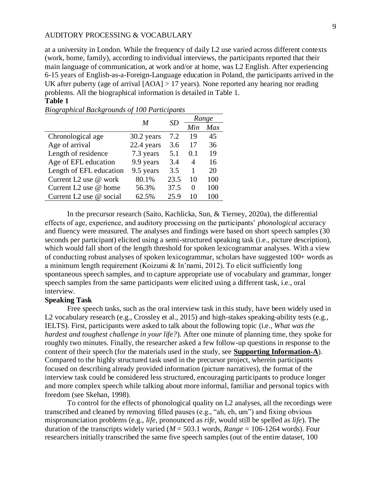at a university in London. While the frequency of daily L2 use varied across different contexts (work, home, family), according to individual interviews, the participants reported that their main language of communication, at work and/or at home, was L2 English. After experiencing 6-15 years of English-as-a-Foreign-Language education in Poland, the participants arrived in the UK after puberty (age of arrival [AOA] > 17 years). None reported any hearing nor reading problems. All the biographical information is detailed in Table 1.

# **Table 1**

|                                   | M          | SD   |     | Range |
|-----------------------------------|------------|------|-----|-------|
|                                   |            |      | Min | Max   |
| Chronological age                 | 30.2 years | 7.2  | 19  | 45    |
| Age of arrival                    | 22.4 years | 3.6  | 17  | 36    |
| Length of residence               | 7.3 years  | 5.1  | 0.1 | 19    |
| Age of EFL education              | 9.9 years  | 3.4  | 4   | 16    |
| Length of EFL education           | 9.5 years  | 3.5  | 1   | 20    |
| Current L2 use @ work             | 80.1%      | 23.5 | 10  | 100   |
| Current L <sub>2</sub> use @ home | 56.3%      | 37.5 | 0   | 100   |
| Current L2 use @ social           | 62.5%      | 25.9 |     | 100   |

*Biographical Backgrounds of 100 Participants*

In the precursor research (Saito, Kachlicka, Sun, & Tierney, 2020a), the differential effects of age, experience, and auditory processing on the participants' *phonological* accuracy and fluency were measured. The analyses and findings were based on short speech samples (30 seconds per participant) elicited using a semi-structured speaking task (i.e., picture description), which would fall short of the length threshold for spoken lexicogrammar analyses. With a view of conducting robust analyses of spoken lexicogrammar, scholars have suggested 100+ words as a minimum length requirement (Koizumi & In'nami, 2012). To elicit sufficiently long spontaneous speech samples, and to capture appropriate use of vocabulary and grammar, longer speech samples from the same participants were elicited using a different task, i.e., oral interview.

# **Speaking Task**

Free speech tasks, such as the oral interview task in this study, have been widely used in L2 vocabulary research (e.g., Crossley et al., 2015) and high-stakes speaking-ability tests (e.g., IELTS). First, participants were asked to talk about the following topic (i.e., *What was the hardest and toughest challenge in your life?*). After one minute of planning time, they spoke for roughly two minutes. Finally, the researcher asked a few follow-up questions in response to the content of their speech (for the materials used in the study, see **Supporting Information-A**). Compared to the highly structured task used in the precursor project, wherein participants focused on describing already provided information (picture narratives), the format of the interview task could be considered less structured, encouraging participants to produce longer and more complex speech while talking about more informal, familiar and personal topics with freedom (see Skehan, 1998).

To control for the effects of phonological quality on L2 analyses, all the recordings were transcribed and cleaned by removing filled pauses (e.g., "ah, eh, um") and fixing obvious mispronunciation problems (e.g., *life*, pronounced as *rife,* would still be spelled as *life*). The duration of the transcripts widely varied ( $M = 503.1$  words,  $Range = 106-1264$  words). Four researchers initially transcribed the same five speech samples (out of the entire dataset, 100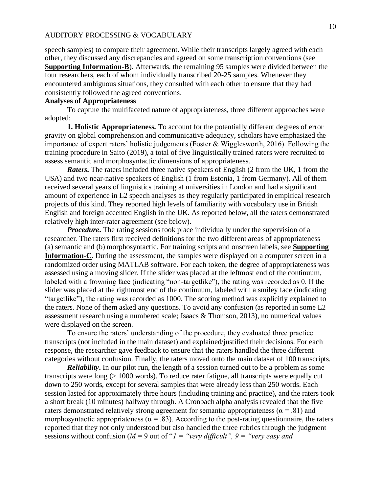speech samples) to compare their agreement. While their transcripts largely agreed with each other, they discussed any discrepancies and agreed on some transcription conventions (see **Supporting Information-B**). Afterwards, the remaining 95 samples were divided between the four researchers, each of whom individually transcribed 20-25 samples. Whenever they encountered ambiguous situations, they consulted with each other to ensure that they had consistently followed the agreed conventions.

# **Analyses of Appropriateness**

To capture the multifaceted nature of appropriateness, three different approaches were adopted:

**1. Holistic Appropriateness***.* To account for the potentially different degrees of error gravity on global comprehension and communicative adequacy, scholars have emphasized the importance of expert raters' holistic judgements (Foster & Wigglesworth, 2016). Following the training procedure in Saito (2019), a total of five linguistically trained raters were recruited to assess semantic and morphosyntactic dimensions of appropriateness.

*Raters***.** The raters included three native speakers of English (2 from the UK, 1 from the USA) and two near-native speakers of English (1 from Estonia, 1 from Germany). All of them received several years of linguistics training at universities in London and had a significant amount of experience in L2 speech analyses as they regularly participated in empirical research projects of this kind. They reported high levels of familiarity with vocabulary use in British English and foreign accented English in the UK. As reported below, all the raters demonstrated relatively high inter-rater agreement (see below).

*Procedure*. The rating sessions took place individually under the supervision of a researcher. The raters first received definitions for the two different areas of appropriateness— (a) semantic and (b) morphosyntactic. For training scripts and onscreen labels, see **Supporting Information-C**. During the assessment, the samples were displayed on a computer screen in a randomized order using MATLAB software. For each token, the degree of appropriateness was assessed using a moving slider. If the slider was placed at the leftmost end of the continuum, labeled with a frowning face (indicating "non-targetlike"), the rating was recorded as 0. If the slider was placed at the rightmost end of the continuum, labeled with a smiley face (indicating "targetlike"), the rating was recorded as 1000. The scoring method was explicitly explained to the raters. None of them asked any questions. To avoid any confusion (as reported in some L2 assessment research using a numbered scale; Isaacs & Thomson, 2013), no numerical values were displayed on the screen.

To ensure the raters' understanding of the procedure, they evaluated three practice transcripts (not included in the main dataset) and explained/justified their decisions. For each response, the researcher gave feedback to ensure that the raters handled the three different categories without confusion. Finally, the raters moved onto the main dataset of 100 transcripts.

*Reliability***.** In our pilot run, the length of a session turned out to be a problem as some transcripts were long (> 1000 words). To reduce rater fatigue, all transcripts were equally cut down to 250 words, except for several samples that were already less than 250 words. Each session lasted for approximately three hours (including training and practice), and the raters took a short break (10 minutes) halfway through. A Cronbach alpha analysis revealed that the five raters demonstrated relatively strong agreement for semantic appropriateness ( $\alpha$  = .81) and morphosyntactic appropriateness ( $\alpha$  = .83). According to the post-rating questionnaire, the raters reported that they not only understood but also handled the three rubrics through the judgment sessions without confusion ( $M = 9$  out of " $I =$  "very difficult",  $9 =$  "very easy and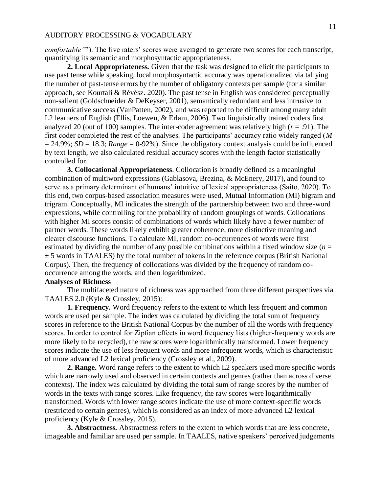*comfortable*""). The five raters' scores were averaged to generate two scores for each transcript, quantifying its semantic and morphosyntactic appropriateness.

**2. Local Appropriateness***.* Given that the task was designed to elicit the participants to use past tense while speaking, local morphosyntactic accuracy was operationalized via tallying the number of past-tense errors by the number of obligatory contexts per sample (for a similar approach, see Kourtali & Révész. 2020). The past tense in English was considered perceptually non-salient (Goldschneider & DeKeyser, 2001), semantically redundant and less intrusive to communicative success (VanPatten, 2002), and was reported to be difficult among many adult L2 learners of English (Ellis, Loewen, & Erlam, 2006). Two linguistically trained coders first analyzed 20 (out of 100) samples. The inter-coder agreement was relatively high (*r* = .91). The first coder completed the rest of the analyses. The participants' accuracy ratio widely ranged (*M*  $= 24.9\%$ ; *SD* = 18.3; *Range* = 0-92%). Since the obligatory context analysis could be influenced by text length, we also calculated residual accuracy scores with the length factor statistically controlled for.

**3. Collocational Appropriateness**. Collocation is broadly defined as a meaningful combination of multiword expressions (Gablasova, Brezina, & McEnery, 2017), and found to serve as a primary determinant of humans' intuitive of lexical appropriateness (Saito, 2020). To this end, two corpus-based association measures were used, Mutual Information (MI) bigram and trigram. Conceptually, MI indicates the strength of the partnership between two and three-word expressions, while controlling for the probability of random groupings of words. Collocations with higher MI scores consist of combinations of words which likely have a fewer number of partner words. These words likely exhibit greater coherence, more distinctive meaning and clearer discourse functions. To calculate MI, random co-occurrences of words were first estimated by dividing the number of any possible combinations within a fixed window size  $(n =$  $\pm$  5 words in TAALES) by the total number of tokens in the reference corpus (British National Corpus). Then, the frequency of collocations was divided by the frequency of random cooccurrence among the words, and then logarithmized.

# **Analyses of Richness**

The multifaceted nature of richness was approached from three different perspectives via TAALES 2.0 (Kyle & Crossley, 2015):

**1. Frequency.** Word frequency refers to the extent to which less frequent and common words are used per sample. The index was calculated by dividing the total sum of frequency scores in reference to the British National Corpus by the number of all the words with frequency scores. In order to control for Zipfian effects in word frequency lists (higher-frequency words are more likely to be recycled), the raw scores were logarithmically transformed. Lower frequency scores indicate the use of less frequent words and more infrequent words, which is characteristic of more advanced L2 lexical proficiency (Crossley et al., 2009).

**2. Range.** Word range refers to the extent to which L2 speakers used more specific words which are narrowly used and observed in certain contexts and genres (rather than across diverse contexts). The index was calculated by dividing the total sum of range scores by the number of words in the texts with range scores. Like frequency, the raw scores were logarithmically transformed. Words with lower range scores indicate the use of more context-specific words (restricted to certain genres), which is considered as an index of more advanced L2 lexical proficiency (Kyle & Crossley, 2015).

**3. Abstractness***.* Abstractness refers to the extent to which words that are less concrete, imageable and familiar are used per sample. In TAALES, native speakers' perceived judgements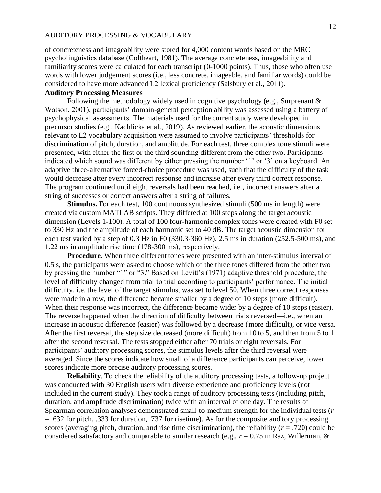of concreteness and imageability were stored for 4,000 content words based on the MRC psycholinguistics database (Coltheart, 1981). The average concreteness, imageability and familiarity scores were calculated for each transcript (0-1000 points). Thus, those who often use words with lower judgement scores (i.e., less concrete, imageable, and familiar words) could be considered to have more advanced L2 lexical proficiency (Salsbury et al., 2011).

# **Auditory Processing Measures**

Following the methodology widely used in cognitive psychology (e.g., Surprenant & Watson, 2001), participants' domain-general perception ability was assessed using a battery of psychophysical assessments. The materials used for the current study were developed in precursor studies (e.g., Kachlicka et al., 2019). As reviewed earlier, the acoustic dimensions relevant to L2 vocabulary acquisition were assumed to involve participants' thresholds for discrimination of pitch, duration, and amplitude. For each test, three complex tone stimuli were presented, with either the first or the third sounding different from the other two. Participants indicated which sound was different by either pressing the number '1' or '3' on a keyboard. An adaptive three-alternative forced-choice procedure was used, such that the difficulty of the task would decrease after every incorrect response and increase after every third correct response. The program continued until eight reversals had been reached, i.e., incorrect answers after a string of successes or correct answers after a string of failures.

**Stimulus.** For each test, 100 continuous synthesized stimuli (500 ms in length) were created via custom MATLAB scripts. They differed at 100 steps along the target acoustic dimension (Levels 1-100). A total of 100 four-harmonic complex tones were created with F0 set to 330 Hz and the amplitude of each harmonic set to 40 dB. The target acoustic dimension for each test varied by a step of 0.3 Hz in F0 (330.3-360 Hz), 2.5 ms in duration (252.5-500 ms), and 1.22 ms in amplitude rise time (178-300 ms), respectively.

**Procedure.** When three different tones were presented with an inter-stimulus interval of 0.5 s, the participants were asked to choose which of the three tones differed from the other two by pressing the number "1" or "3." Based on Levitt's (1971) adaptive threshold procedure, the level of difficulty changed from trial to trial according to participants' performance. The initial difficulty, i.e. the level of the target stimulus, was set to level 50. When three correct responses were made in a row, the difference became smaller by a degree of 10 steps (more difficult). When their response was incorrect, the difference became wider by a degree of 10 steps (easier). The reverse happened when the direction of difficulty between trials reversed—i.e., when an increase in acoustic difference (easier) was followed by a decrease (more difficult), or vice versa. After the first reversal, the step size decreased (more difficult) from 10 to 5, and then from 5 to 1 after the second reversal. The tests stopped either after 70 trials or eight reversals. For participants' auditory processing scores, the stimulus levels after the third reversal were averaged. Since the scores indicate how small of a difference participants can perceive, lower scores indicate more precise auditory processing scores.

**Reliability**. To check the reliability of the auditory processing tests, a follow-up project was conducted with 30 English users with diverse experience and proficiency levels (not included in the current study). They took a range of auditory processing tests (including pitch, duration, and amplitude discrimination) twice with an interval of one day. The results of Spearman correlation analyses demonstrated small-to-medium strength for the individual tests (*r* = .632 for pitch, .333 for duration, .737 for risetime). As for the composite auditory processing scores (averaging pitch, duration, and rise time discrimination), the reliability ( $r = .720$ ) could be considered satisfactory and comparable to similar research (e.g., *r* = 0.75 in Raz, Willerman, &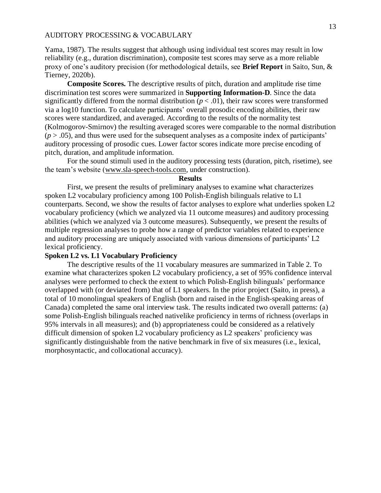Yama, 1987). The results suggest that although using individual test scores may result in low reliability (e.g., duration discrimination), composite test scores may serve as a more reliable proxy of one's auditory precision (for methodological details, see **Brief Report** in Saito, Sun, & Tierney, 2020b).

**Composite Scores.** The descriptive results of pitch, duration and amplitude rise time discrimination test scores were summarized in **Supporting Information-D**. Since the data significantly differed from the normal distribution  $(p < .01)$ , their raw scores were transformed via a log10 function. To calculate participants' overall prosodic encoding abilities, their raw scores were standardized, and averaged. According to the results of the normality test (Kolmogorov-Smirnov) the resulting averaged scores were comparable to the normal distribution  $(p > .05)$ , and thus were used for the subsequent analyses as a composite index of participants' auditory processing of prosodic cues. Lower factor scores indicate more precise encoding of pitch, duration, and amplitude information.

For the sound stimuli used in the auditory processing tests (duration, pitch, risetime), see the team's website [\(www.sla-speech-tools.com,](http://www.sla-speech-tools.com/) under construction).

#### **Results**

First, we present the results of preliminary analyses to examine what characterizes spoken L2 vocabulary proficiency among 100 Polish-English bilinguals relative to L1 counterparts. Second, we show the results of factor analyses to explore what underlies spoken L2 vocabulary proficiency (which we analyzed via 11 outcome measures) and auditory processing abilities (which we analyzed via 3 outcome measures). Subsequently, we present the results of multiple regression analyses to probe how a range of predictor variables related to experience and auditory processing are uniquely associated with various dimensions of participants' L2 lexical proficiency.

# **Spoken L2 vs. L1 Vocabulary Proficiency**

The descriptive results of the 11 vocabulary measures are summarized in Table 2. To examine what characterizes spoken L2 vocabulary proficiency, a set of 95% confidence interval analyses were performed to check the extent to which Polish-English bilinguals' performance overlapped with (or deviated from) that of L1 speakers. In the prior project (Saito, in press), a total of 10 monolingual speakers of English (born and raised in the English-speaking areas of Canada) completed the same oral interview task. The results indicated two overall patterns: (a) some Polish-English bilinguals reached nativelike proficiency in terms of richness (overlaps in 95% intervals in all measures); and (b) appropriateness could be considered as a relatively difficult dimension of spoken L2 vocabulary proficiency as L2 speakers' proficiency was significantly distinguishable from the native benchmark in five of six measures (i.e., lexical, morphosyntactic, and collocational accuracy).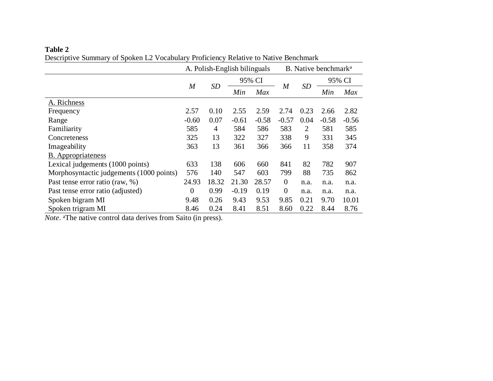# **Table 2**

Descriptive Summary of Spoken L2 Vocabulary Proficiency Relative to Native Benchmark

|                                          |                | A. Polish-English bilinguals | B. Native benchmark <sup>a</sup> |         |                |                |         |         |
|------------------------------------------|----------------|------------------------------|----------------------------------|---------|----------------|----------------|---------|---------|
|                                          |                |                              |                                  | 95% CI  | $\overline{M}$ | <b>SD</b>      | 95% CI  |         |
|                                          | $\overline{M}$ | <b>SD</b>                    | Min                              | Max     |                |                | Min     | Max     |
| A. Richness                              |                |                              |                                  |         |                |                |         |         |
| Frequency                                | 2.57           | 0.10                         | 2.55                             | 2.59    | 2.74           | 0.23           | 2.66    | 2.82    |
| Range                                    | $-0.60$        | 0.07                         | $-0.61$                          | $-0.58$ | $-0.57$        | 0.04           | $-0.58$ | $-0.56$ |
| Familiarity                              | 585            | 4                            | 584                              | 586     | 583            | $\overline{2}$ | 581     | 585     |
| Concreteness                             | 325            | 13                           | 322                              | 327     | 338            | 9              | 331     | 345     |
| Imageability                             | 363            | 13                           | 361                              | 366     | 366            | 11             | 358     | 374     |
| <b>B.</b> Appropriateness                |                |                              |                                  |         |                |                |         |         |
| Lexical judgements (1000 points)         | 633            | 138                          | 606                              | 660     | 841            | 82             | 782     | 907     |
| Morphosyntactic judgements (1000 points) | 576            | 140                          | 547                              | 603     | 799            | 88             | 735     | 862     |
| Past tense error ratio (raw, %)          | 24.93          | 18.32                        | 21.30                            | 28.57   | $\theta$       | n.a.           | n.a.    | n.a.    |
| Past tense error ratio (adjusted)        | $\overline{0}$ | 0.99                         | $-0.19$                          | 0.19    | $\theta$       | n.a.           | n.a.    | n.a.    |
| Spoken bigram MI                         | 9.48           | 0.26                         | 9.43                             | 9.53    | 9.85           | 0.21           | 9.70    | 10.01   |
| Spoken trigram MI                        | 8.46           | 0.24                         | 8.41                             | 8.51    | 8.60           | 0.22           | 8.44    | 8.76    |

*Note*. <sup>a</sup>The native control data derives from Saito (in press).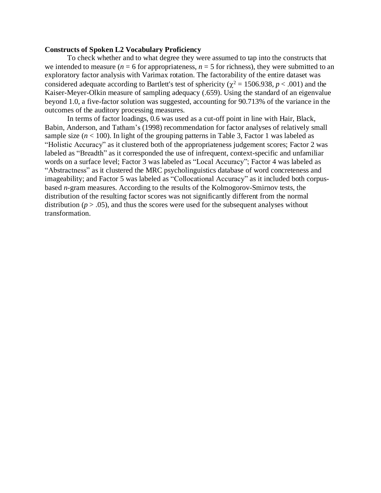# **Constructs of Spoken L2 Vocabulary Proficiency**

To check whether and to what degree they were assumed to tap into the constructs that we intended to measure ( $n = 6$  for appropriateness,  $n = 5$  for richness), they were submitted to an exploratory factor analysis with Varimax rotation. The factorability of the entire dataset was considered adequate according to Bartlett's test of sphericity ( $\chi^2$  = 1506.938, *p* < .001) and the Kaiser-Meyer-Olkin measure of sampling adequacy (.659). Using the standard of an eigenvalue beyond 1.0, a five-factor solution was suggested, accounting for 90.713% of the variance in the outcomes of the auditory processing measures.

In terms of factor loadings, 0.6 was used as a cut-off point in line with Hair, Black, Babin, Anderson, and Tatham's (1998) recommendation for factor analyses of relatively small sample size  $(n < 100)$ . In light of the grouping patterns in Table 3, Factor 1 was labeled as "Holistic Accuracy" as it clustered both of the appropriateness judgement scores; Factor 2 was labeled as "Breadth" as it corresponded the use of infrequent, context-specific and unfamiliar words on a surface level; Factor 3 was labeled as "Local Accuracy"; Factor 4 was labeled as "Abstractness" as it clustered the MRC psycholinguistics database of word concreteness and imageability; and Factor 5 was labeled as "Collocational Accuracy" as it included both corpusbased *n*-gram measures. According to the results of the Kolmogorov-Smirnov tests, the distribution of the resulting factor scores was not significantly different from the normal distribution ( $p > .05$ ), and thus the scores were used for the subsequent analyses without transformation.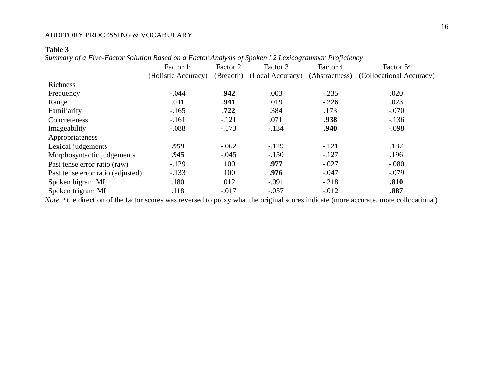# **Table 3**

*Summary of a Five-Factor Solution Based on a Factor Analysis of Spoken L2 Lexicogrammar Proficiency*

|                                   | Factor 1 <sup>a</sup> | Factor 2  | Factor 3         | Factor 4       | Factor 5 <sup>a</sup>    |
|-----------------------------------|-----------------------|-----------|------------------|----------------|--------------------------|
|                                   | (Holistic Accuracy)   | (Breadth) | (Local Accuracy) | (Abstractness) | (Collocational Accuracy) |
| Richness                          |                       |           |                  |                |                          |
| Frequency                         | $-.044$               | .942      | .003             | $-.235$        | .020                     |
| Range                             | .041                  | .941      | .019             | $-.226$        | .023                     |
| Familiarity                       | $-.165$               | .722      | .384             | .173           | $-.070$                  |
| Concreteness                      | $-.161$               | $-.121$   | .071             | .938           | $-.136$                  |
| Imageability                      | $-.088$               | $-.173$   | $-.134$          | .940           | $-.098$                  |
| Appropriateness                   |                       |           |                  |                |                          |
| Lexical judgements                | .959                  | $-.062$   | $-.129$          | $-.121$        | .137                     |
| Morphosyntactic judgements        | .945                  | $-.045$   | $-.150$          | $-.127$        | .196                     |
| Past tense error ratio (raw)      | $-.129$               | .100      | .977             | $-.027$        | $-.080$                  |
| Past tense error ratio (adjusted) | $-.133$               | .100      | .976             | $-.047$        | $-.079$                  |
| Spoken bigram MI                  | .180                  | .012      | $-.091$          | $-.218$        | .810                     |
| Spoken trigram MI                 | .118                  | $-.017$   | $-.057$          | $-.012$        | .887                     |

Note.<sup>a</sup> the direction of the factor scores was reversed to proxy what the original scores indicate (more accurate, more collocational)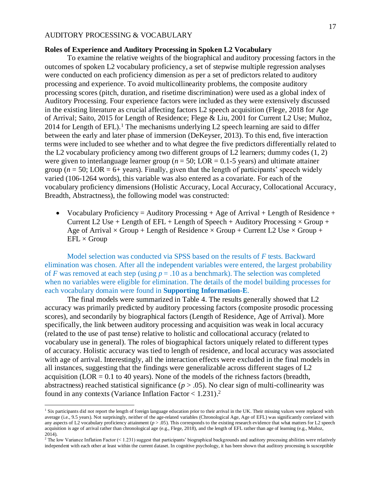# **Roles of Experience and Auditory Processing in Spoken L2 Vocabulary**

To examine the relative weights of the biographical and auditory processing factors in the outcomes of spoken L2 vocabulary proficiency, a set of stepwise multiple regression analyses were conducted on each proficiency dimension as per a set of predictors related to auditory processing and experience. To avoid multicollinearity problems, the composite auditory processing scores (pitch, duration, and risetime discrimination) were used as a global index of Auditory Processing. Four experience factors were included as they were extensively discussed in the existing literature as crucial affecting factors L2 speech acquisition (Flege, 2018 for Age of Arrival; Saito, 2015 for Length of Residence; Flege & Liu, 2001 for Current L2 Use; Muñoz, 2014 for Length of EFL).<sup>1</sup> The mechanisms underlying L2 speech learning are said to differ between the early and later phase of immersion (DeKeyser, 2013). To this end, five interaction terms were included to see whether and to what degree the five predictors differentially related to the L2 vocabulary proficiency among two different groups of L2 learners; dummy codes (1, 2) were given to interlanguage learner group ( $n = 50$ ; LOR = 0.1-5 years) and ultimate attainer group ( $n = 50$ ; LOR = 6+ years). Finally, given that the length of participants' speech widely varied (106-1264 words), this variable was also entered as a covariate. For each of the vocabulary proficiency dimensions (Holistic Accuracy, Local Accuracy, Collocational Accuracy, Breadth, Abstractness), the following model was constructed:

• Vocabulary Proficiency = Auditory Processing  $+$  Age of Arrival  $+$  Length of Residence  $+$ Current L2 Use + Length of EFL + Length of Speech + Auditory Processing  $\times$  Group + Age of Arrival  $\times$  Group + Length of Residence  $\times$  Group + Current L2 Use  $\times$  Group +  $EFL \times Group$ 

Model selection was conducted via SPSS based on the results of *F* tests. Backward elimination was chosen. After all the independent variables were entered, the largest probability of *F* was removed at each step (using  $p = .10$  as a benchmark). The selection was completed when no variables were eligible for elimination. The details of the model building processes for each vocabulary domain were found in **Supporting Information-E**.

The final models were summarized in Table 4. The results generally showed that L2 accuracy was primarily predicted by auditory processing factors (composite prosodic processing scores), and secondarily by biographical factors (Length of Residence, Age of Arrival). More specifically, the link between auditory processing and acquisition was weak in local accuracy (related to the use of past tense) relative to holistic and collocational accuracy (related to vocabulary use in general). The roles of biographical factors uniquely related to different types of accuracy. Holistic accuracy was tied to length of residence, and local accuracy was associated with age of arrival. Interestingly, all the interaction effects were excluded in the final models in all instances, suggesting that the findings were generalizable across different stages of L2 acquisition (LOR  $= 0.1$  to 40 years). None of the models of the richness factors (breadth, abstractness) reached statistical significance  $(p > .05)$ . No clear sign of multi-collinearity was found in any contexts (Variance Inflation Factor < 1.231). 2

<sup>&</sup>lt;sup>1</sup> Six participants did not report the length of foreign language education prior to their arrival in the UK. Their missing values were replaced with average (i.e., 9.5 years). Not surprisingly, neither of the age-related variables (Chronological Age, Age of EFL) was significantly correlated with any aspects of L2 vocabulary proficiency attainment  $(p > .05)$ . This corresponds to the existing research evidence that what matters for L2 speech acquisition is age of arrival rather than chronological age (e.g., Flege, 2018), and the length of EFL rather than age of learning (e.g., Muñoz, 2014).

 $2$  The low Variance Inflation Factor (< 1.231) suggest that participants' biographical backgrounds and auditory processing abilities were relatively independent with each other at least within the current dataset. In cognitive psychology, it has been shown that auditory processing is susceptible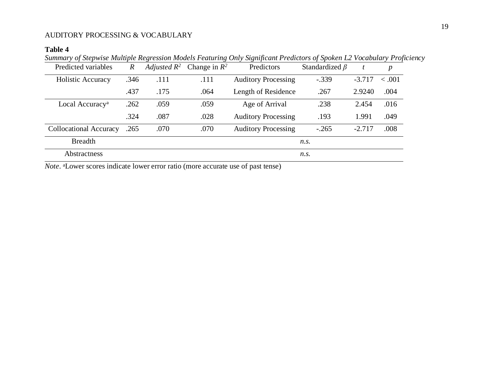# **Table 4**

Summary of Stepwise Multiple Regression Models Featuring Only Significant Predictors of Spoken L2 Vocabulary Proficiency

| Predicted variables           | $\boldsymbol{R}$ |      | Adjusted $R^2$ Change in $R^2$ | Predictors                 | Standardized $\beta$ |          | $\boldsymbol{p}$ |
|-------------------------------|------------------|------|--------------------------------|----------------------------|----------------------|----------|------------------|
| Holistic Accuracy             | .346             | .111 | .111                           | <b>Auditory Processing</b> | $-.339$              | $-3.717$ | $-.001$          |
|                               | .437             | .175 | .064                           | Length of Residence        | .267                 | 2.9240   | .004             |
| Local Accuracy <sup>a</sup>   | .262             | .059 | .059                           | Age of Arrival             | .238                 | 2.454    | .016             |
|                               | .324             | .087 | .028                           | <b>Auditory Processing</b> | .193                 | 1.991    | .049             |
| <b>Collocational Accuracy</b> | .265             | .070 | .070                           | <b>Auditory Processing</b> | $-.265$              | $-2.717$ | .008             |
| <b>Breadth</b>                |                  |      |                                |                            | $n_{\rm s}$ .        |          |                  |
| Abstractness                  |                  |      |                                |                            | $n_{\rm s}$ .        |          |                  |

*Note*. aLower scores indicate lower error ratio (more accurate use of past tense)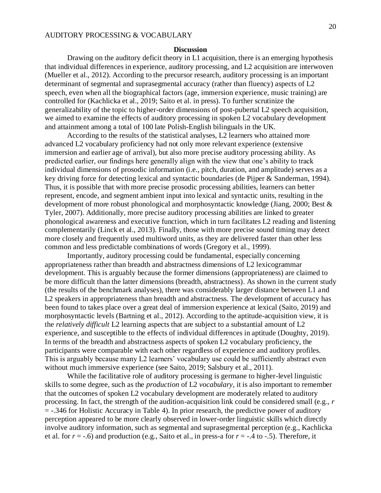### **Discussion**

Drawing on the auditory deficit theory in L1 acquisition, there is an emerging hypothesis that individual differences in experience, auditory processing, and L2 acquisition are interwoven (Mueller et al., 2012). According to the precursor research, auditory processing is an important determinant of segmental and suprasegmental accuracy (rather than fluency) aspects of L2 speech, even when all the biographical factors (age, immersion experience, music training) are controlled for (Kachlicka et al., 2019; Saito et al. in press). To further scrutinize the generalizability of the topic to higher-order dimensions of post-pubertal L2 speech acquisition, we aimed to examine the effects of auditory processing in spoken L2 vocabulary development and attainment among a total of 100 late Polish-English bilinguals in the UK.

According to the results of the statistical analyses, L2 learners who attained more advanced L2 vocabulary proficiency had not only more relevant experience (extensive immersion and earlier age of arrival), but also more precise auditory processing ability. As predicted earlier, our findings here generally align with the view that one's ability to track individual dimensions of prosodic information (i.e., pitch, duration, and amplitude) serves as a key driving force for detecting lexical and syntactic boundaries (de Pijper & Sanderman, 1994). Thus, it is possible that with more precise prosodic processing abilities, learners can better represent, encode, and segment ambient input into lexical and syntactic units, resulting in the development of more robust phonological and morphosyntactic knowledge (Jiang, 2000; Best & Tyler, 2007). Additionally, more precise auditory processing abilities are linked to greater phonological awareness and executive function, which in turn facilitates L2 reading and listening complementarily (Linck et al., 2013). Finally, those with more precise sound timing may detect more closely and frequently used multiword units, as they are delivered faster than other less common and less predictable combinations of words (Gregory et al., 1999).

Importantly, auditory processing could be fundamental, especially concerning appropriateness rather than breadth and abstractness dimensions of L2 lexicogrammar development. This is arguably because the former dimensions (appropriateness) are claimed to be more difficult than the latter dimensions (breadth, abstractness). As shown in the current study (the results of the benchmark analyses), there was considerably larger distance between L1 and L2 speakers in appropriateness than breadth and abstractness. The development of accuracy has been found to takes place over a great deal of immersion experience at lexical (Saito, 2019) and morphosyntactic levels (Bartning et al., 2012). According to the aptitude-acquisition view, it is the *relatively difficult* L2 learning aspects that are subject to a substantial amount of L2 experience, and susceptible to the effects of individual differences in aptitude (Doughty, 2019). In terms of the breadth and abstractness aspects of spoken L2 vocabulary proficiency, the participants were comparable with each other regardless of experience and auditory profiles. This is arguably because many L2 learners' vocabulary use could be sufficiently abstract even without much immersive experience (see Saito, 2019; Salsbury et al., 2011).

While the facilitative role of auditory processing is germane to higher-level linguistic skills to some degree, such as the *production* of L2 *vocabulary*, it is also important to remember that the outcomes of spoken L2 vocabulary development are moderately related to auditory processing. In fact, the strength of the audition-acquisition link could be considered small (e.g., *r* = -.346 for Holistic Accuracy in Table 4). In prior research, the predictive power of auditory perception appeared to be more clearly observed in lower-order linguistic skills which directly involve auditory information, such as segmental and suprasegmental perception (e.g., Kachlicka et al. for  $r = -0.6$ ) and production (e.g., Saito et al., in press-a for  $r = -0.4$  to  $-0.5$ ). Therefore, it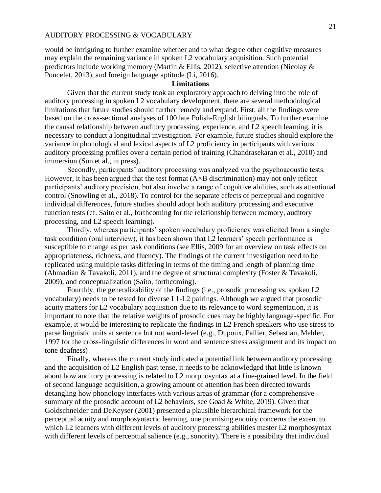would be intriguing to further examine whether and to what degree other cognitive measures may explain the remaining variance in spoken L2 vocabulary acquisition. Such potential predictors include working memory (Martin & Ellis, 2012), selective attention (Nicolay & Poncelet, 2013), and foreign language aptitude (Li, 2016).

## **Limitations**

Given that the current study took an exploratory approach to delving into the role of auditory processing in spoken L2 vocabulary development, there are several methodological limitations that future studies should further remedy and expand. First, all the findings were based on the cross-sectional analyses of 100 late Polish-English bilinguals. To further examine the causal relationship between auditory processing, experience, and L2 speech learning, it is necessary to conduct a longitudinal investigation. For example, future studies should explore the variance in phonological and lexical aspects of L2 proficiency in participants with various auditory processing profiles over a certain period of training (Chandrasekaran et al., 2010) and immersion (Sun et al., in press).

Secondly, participants' auditory processing was analyzed via the psychoacoustic tests. However, it has been argued that the test format  $(A \times B$  discrimination) may not only reflect participants' auditory precision, but also involve a range of cognitive abilities, such as attentional control (Snowling et al., 2018). To control for the separate effects of perceptual and cognitive individual differences, future studies should adopt both auditory processing and executive function tests (cf. Saito et al., forthcoming for the relationship between memory, auditory processing, and L2 speech learning).

Thirdly, whereas participants' spoken vocabulary proficiency was elicited from a single task condition (oral interview), it has been shown that L2 learners' speech performance is susceptible to change as per task conditions (see Ellis, 2009 for an overview on task effects on appropriateness, richness, and fluency). The findings of the current investigation need to be replicated using multiple tasks differing in terms of the timing and length of planning time (Ahmadian & Tavakoli, 2011), and the degree of structural complexity (Foster & Tavakoli, 2009), and conceptualization (Saito, forthcoming).

Fourthly, the generalizability of the findings (i.e., prosodic processing vs. spoken L2 vocabulary) needs to be tested for diverse L1-L2 pairings. Although we argued that prosodic acuity matters for L2 vocabulary acquisition due to its relevance to word segmentation, it is important to note that the relative weights of prosodic cues may be highly language-specific. For example, it would be interesting to replicate the findings in L2 French speakers who use stress to parse linguistic units at sentence but not word-level (e.g., Dupoux, Pallier, Sebastian, Mehler, 1997 for the cross-linguistic differences in word and sentence stress assignment and its impact on tone deafness)

Finally, whereas the current study indicated a potential link between auditory processing and the acquisition of L2 English past tense, it needs to be acknowledged that little is known about how auditory processing is related to L2 morphosyntax at a fine-grained level. In the field of second language acquisition, a growing amount of attention has been directed towards detangling how phonology interfaces with various areas of grammar (for a comprehensive summary of the prosodic account of L2 behaviors, see Goad & White, 2019). Given that Goldschneider and DeKeyser (2001) presented a plausible hierarchical framework for the perceptual acuity and morphosyntactic learning, one promising enquiry concerns the extent to which L2 learners with different levels of auditory processing abilities master L2 morphosyntax with different levels of perceptual salience (e.g., sonority). There is a possibility that individual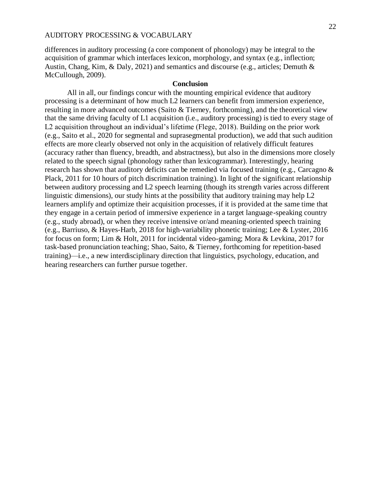differences in auditory processing (a core component of phonology) may be integral to the acquisition of grammar which interfaces lexicon, morphology, and syntax (e.g., inflection; Austin, Chang, Kim, & Daly, 2021) and semantics and discourse (e.g., articles; Demuth & McCullough, 2009).

# **Conclusion**

All in all, our findings concur with the mounting empirical evidence that auditory processing is a determinant of how much L2 learners can benefit from immersion experience, resulting in more advanced outcomes (Saito & Tierney, forthcoming), and the theoretical view that the same driving faculty of L1 acquisition (i.e., auditory processing) is tied to every stage of L2 acquisition throughout an individual's lifetime (Flege, 2018). Building on the prior work (e.g., Saito et al., 2020 for segmental and suprasegmental production), we add that such audition effects are more clearly observed not only in the acquisition of relatively difficult features (accuracy rather than fluency, breadth, and abstractness), but also in the dimensions more closely related to the speech signal (phonology rather than lexicogrammar). Interestingly, hearing research has shown that auditory deficits can be remedied via focused training (e.g., Carcagno & Plack, 2011 for 10 hours of pitch discrimination training). In light of the significant relationship between auditory processing and L2 speech learning (though its strength varies across different linguistic dimensions), our study hints at the possibility that auditory training may help L2 learners amplify and optimize their acquisition processes, if it is provided at the same time that they engage in a certain period of immersive experience in a target language-speaking country (e.g., study abroad), or when they receive intensive or/and meaning-oriented speech training (e.g., Barriuso, & Hayes-Harb, 2018 for high-variability phonetic training; Lee & Lyster, 2016 for focus on form; Lim & Holt, 2011 for incidental video-gaming; Mora & Levkina, 2017 for task-based pronunciation teaching; Shao, Saito, & Tierney, forthcoming for repetition-based training)—i.e., a new interdisciplinary direction that linguistics, psychology, education, and hearing researchers can further pursue together.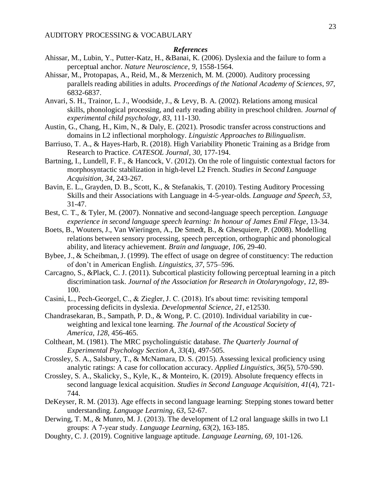# *References*

- Ahissar, M., Lubin, Y., Putter-Katz, H., &Banai, K. (2006). Dyslexia and the failure to form a perceptual anchor. *Nature Neuroscience*, *9*, 1558-1564.
- Ahissar, M., Protopapas, A., Reid, M., & Merzenich, M. M. (2000). Auditory processing parallels reading abilities in adults. *Proceedings of the National Academy of Sciences*, *97*, 6832-6837.
- Anvari, S. H., Trainor, L. J., Woodside, J., & Levy, B. A. (2002). Relations among musical skills, phonological processing, and early reading ability in preschool children. *Journal of experimental child psychology*, *83*, 111-130.
- Austin, G., Chang, H., Kim, N., & Daly, E. (2021). Prosodic transfer across constructions and domains in L2 inflectional morphology. *Linguistic Approaches to Bilingualism*.
- Barriuso, T. A., & Hayes-Harb, R. (2018). High Variability Phonetic Training as a Bridge from Research to Practice. *CATESOL Journal*, *30*, 177-194.
- Bartning, I., Lundell, F. F., & Hancock, V. (2012). On the role of linguistic contextual factors for morphosyntactic stabilization in high-level L2 French. *Studies in Second Language Acquisition*, *34*, 243-267.
- Bavin, E. L., Grayden, D. B., Scott, K., & Stefanakis, T. (2010). Testing Auditory Processing Skills and their Associations with Language in 4-5-year-olds. *Language and Speech*, *53*, 31-47.
- Best, C. T., & Tyler, M. (2007). Nonnative and second-language speech perception. *Language experience in second language speech learning: In honour of James Emil Flege*, 13-34.
- Boets, B., Wouters, J., Van Wieringen, A., De Smedt, B., & Ghesquiere, P. (2008). Modelling relations between sensory processing, speech perception, orthographic and phonological ability, and literacy achievement. *Brain and language*, *106*, 29-40.
- Bybee, J., & Scheibman, J. (1999). The effect of usage on degree of constituency: The reduction of don't in American English. *Linguistics, 37*, 575–596.
- Carcagno, S., &Plack, C. J. (2011). Subcortical plasticity following perceptual learning in a pitch discrimination task. *Journal of the Association for Research in Otolaryngology*, *12*, 89- 100.
- Casini, L., Pech‐Georgel, C., & Ziegler, J. C. (2018). It's about time: revisiting temporal processing deficits in dyslexia. *Developmental Science*, *21*, e12530.
- Chandrasekaran, B., Sampath, P. D., & Wong, P. C. (2010). Individual variability in cueweighting and lexical tone learning. *The Journal of the Acoustical Society of America*, *128*, 456-465.
- Coltheart, M. (1981). The MRC psycholinguistic database. *The Quarterly Journal of Experimental Psychology Section A*, *33*(4), 497-505.
- Crossley, S. A., Salsbury, T., & McNamara, D. S. (2015). Assessing lexical proficiency using analytic ratings: A case for collocation accuracy. *Applied Linguistics*, *36*(5), 570-590.
- Crossley, S. A., Skalicky, S., Kyle, K., & Monteiro, K. (2019). Absolute frequency effects in second language lexical acquisition. *Studies in Second Language Acquisition, 41*(4), 721- 744.
- DeKeyser, R. M. (2013). Age effects in second language learning: Stepping stones toward better understanding. *Language Learning*, *63*, 52-67.
- Derwing, T. M., & Munro, M. J. (2013). The development of L2 oral language skills in two L1 groups: A 7‐year study. *Language Learning*, *63*(2), 163-185.
- Doughty, C. J. (2019). Cognitive language aptitude. *Language Learning, 69*, 101-126.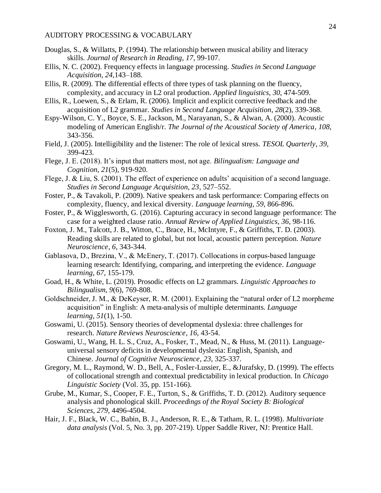- Douglas, S., & Willatts, P. (1994). The relationship between musical ability and literacy skills. *Journal of Research in Reading*, *17*, 99-107.
- Ellis, N. C. (2002). Frequency effects in language processing. *Studies in Second Language Acquisition, 24,*143–188.
- Ellis, R. (2009). The differential effects of three types of task planning on the fluency, complexity, and accuracy in L2 oral production. *Applied linguistics*, *30*, 474-509.
- Ellis, R., Loewen, S., & Erlam, R. (2006). Implicit and explicit corrective feedback and the acquisition of L2 grammar. *Studies in Second Language Acquisition*, *28*(2), 339-368.
- Espy-Wilson, C. Y., Boyce, S. E., Jackson, M., Narayanan, S., & Alwan, A. (2000). Acoustic modeling of American English/r. *The Journal of the Acoustical Society of America*, *108*, 343-356.
- Field, J. (2005). Intelligibility and the listener: The role of lexical stress. *TESOL Quarterly*, *39*, 399-423.
- Flege, J. E. (2018). It's input that matters most, not age. *Bilingualism: Language and Cognition*, *21*(5), 919-920.
- Flege, J. & Liu, S. (2001). The effect of experience on adults' acquisition of a second language. *Studies in Second Language Acquisition, 23*, 527–552.
- Foster, P., & Tavakoli, P. (2009). Native speakers and task performance: Comparing effects on complexity, fluency, and lexical diversity. *Language learning*, *59*, 866-896.
- Foster, P., & Wigglesworth, G. (2016). Capturing accuracy in second language performance: The case for a weighted clause ratio. *Annual Review of Applied Linguistics*, *36*, 98-116.
- Foxton, J. M., Talcott, J. B., Witton, C., Brace, H., McIntyre, F., & Griffiths, T. D. (2003). Reading skills are related to global, but not local, acoustic pattern perception. *Nature Neuroscience*, *6*, 343-344.
- Gablasova, D., Brezina, V., & McEnery, T. (2017). Collocations in corpus‐based language learning research: Identifying, comparing, and interpreting the evidence. *Language learning*, *67*, 155-179.
- Goad, H., & White, L. (2019). Prosodic effects on L2 grammars. *Linguistic Approaches to Bilingualism*, *9*(6), 769-808.
- Goldschneider, J. M., & DeKeyser, R. M. (2001). Explaining the "natural order of L2 morpheme acquisition" in English: A meta‐analysis of multiple determinants. *Language learning*, *51*(1), 1-50.
- Goswami, U. (2015). Sensory theories of developmental dyslexia: three challenges for research. *Nature Reviews Neuroscience*, *16*, 43-54.
- Goswami, U., Wang, H. L. S., Cruz, A., Fosker, T., Mead, N., & Huss, M. (2011). Languageuniversal sensory deficits in developmental dyslexia: English, Spanish, and Chinese. *Journal of Cognitive Neuroscience*, *23*, 325-337.
- Gregory, M. L., Raymond, W. D., Bell, A., Fosler-Lussier, E., &Jurafsky, D. (1999). The effects of collocational strength and contextual predictability in lexical production. In *Chicago Linguistic Society* (Vol. 35, pp. 151-166).
- Grube, M., Kumar, S., Cooper, F. E., Turton, S., & Griffiths, T. D. (2012). Auditory sequence analysis and phonological skill. *Proceedings of the Royal Society B: Biological Sciences*, *279*, 4496-4504.
- Hair, J. F., Black, W. C., Babin, B. J., Anderson, R. E., & Tatham, R. L. (1998). *Multivariate data analysis* (Vol. 5, No. 3, pp. 207-219). Upper Saddle River, NJ: Prentice Hall.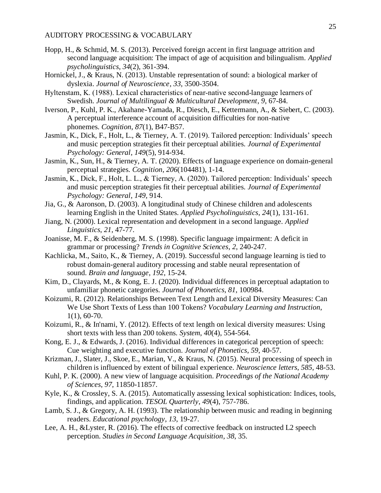- Hopp, H., & Schmid, M. S. (2013). Perceived foreign accent in first language attrition and second language acquisition: The impact of age of acquisition and bilingualism. *Applied psycholinguistics*, *34*(2), 361-394.
- Hornickel, J., & Kraus, N. (2013). Unstable representation of sound: a biological marker of dyslexia. *Journal of Neuroscience*, *33*, 3500-3504.
- Hyltenstam, K. (1988). Lexical characteristics of near-native second-language learners of Swedish. *Journal of Multilingual & Multicultural Development*, *9*, 67-84.
- Iverson, P., Kuhl, P. K., Akahane-Yamada, R., Diesch, E., Kettermann, A., & Siebert, C. (2003). A perceptual interference account of acquisition difficulties for non-native phonemes. *Cognition*, *87*(1), B47-B57.
- Jasmin, K., Dick, F., Holt, L., & Tierney, A. T. (2019). Tailored perception: Individuals' speech and music perception strategies fit their perceptual abilities. *Journal of Experimental Psychology: General*, *149*(5), 914-934.
- Jasmin, K., Sun, H., & Tierney, A. T. (2020). Effects of language experience on domain-general perceptual strategies. *Cognition*, *206*(104481), 1-14.
- Jasmin, K., Dick, F., Holt, L. L., & Tierney, A. (2020). Tailored perception: Individuals' speech and music perception strategies fit their perceptual abilities. *Journal of Experimental Psychology: General*, *149*, 914.
- Jia, G., & Aaronson, D. (2003). A longitudinal study of Chinese children and adolescents learning English in the United States. *Applied Psycholinguistics*, *24*(1), 131-161.
- Jiang, N. (2000). Lexical representation and development in a second language. *Applied Linguistics*, *21*, 47-77.
- Joanisse, M. F., & Seidenberg, M. S. (1998). Specific language impairment: A deficit in grammar or processing? *Trends in Cognitive Sciences*, *2*, 240-247.
- Kachlicka, M., Saito, K., & Tierney, A. (2019). Successful second language learning is tied to robust domain-general auditory processing and stable neural representation of sound. *Brain and language*, *192*, 15-24.
- Kim, D., Clayards, M., & Kong, E. J. (2020). Individual differences in perceptual adaptation to unfamiliar phonetic categories. *Journal of Phonetics*, *81*, 100984.
- Koizumi, R. (2012). Relationships Between Text Length and Lexical Diversity Measures: Can We Use Short Texts of Less than 100 Tokens? *Vocabulary Learning and Instruction*, 1(1), 60-70.
- Koizumi, R., & In'nami, Y. (2012). Effects of text length on lexical diversity measures: Using short texts with less than 200 tokens. *System*, *40*(4), 554-564.
- Kong, E. J., & Edwards, J. (2016). Individual differences in categorical perception of speech: Cue weighting and executive function. *Journal of Phonetics*, *59*, 40-57.
- Krizman, J., Slater, J., Skoe, E., Marian, V., & Kraus, N. (2015). Neural processing of speech in children is influenced by extent of bilingual experience. *Neuroscience letters*, *585*, 48-53.
- Kuhl, P. K. (2000). A new view of language acquisition. *Proceedings of the National Academy of Sciences*, *97*, 11850-11857.
- Kyle, K., & Crossley, S. A. (2015). Automatically assessing lexical sophistication: Indices, tools, findings, and application. *TESOL Quarterly*, *49*(4), 757-786.
- Lamb, S. J., & Gregory, A. H. (1993). The relationship between music and reading in beginning readers. *Educational psychology*, *13*, 19-27.
- Lee, A. H., &Lyster, R. (2016). The effects of corrective feedback on instructed L2 speech perception. *Studies in Second Language Acquisition*, *38*, 35.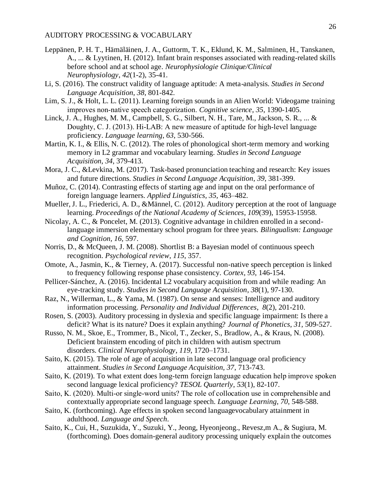- Leppänen, P. H. T., Hämäläinen, J. A., Guttorm, T. K., Eklund, K. M., Salminen, H., Tanskanen, A., ... & Lyytinen, H. (2012). Infant brain responses associated with reading-related skills before school and at school age. *Neurophysiologie Clinique/Clinical Neurophysiology*, *42*(1-2), 35-41.
- Li, S. (2016). The construct validity of language aptitude: A meta-analysis. *Studies in Second Language Acquisition*, *38*, 801-842.
- Lim, S. J., & Holt, L. L. (2011). Learning foreign sounds in an Alien World: Videogame training improves non‐native speech categorization. *Cognitive science*, *35*, 1390-1405.
- Linck, J. A., Hughes, M. M., Campbell, S. G., Silbert, N. H., Tare, M., Jackson, S. R., ... & Doughty, C. J. (2013). Hi‐LAB: A new measure of aptitude for high‐level language proficiency. *Language learning*, *63*, 530-566.
- Martin, K. I., & Ellis, N. C. (2012). The roles of phonological short-term memory and working memory in L2 grammar and vocabulary learning. *Studies in Second Language Acquisition*, *34*, 379-413.
- Mora, J. C., &Levkina, M. (2017). Task-based pronunciation teaching and research: Key issues and future directions. *Studies in Second Language Acquisition*, *39*, 381-399.
- Muñoz, C. (2014). Contrasting effects of starting age and input on the oral performance of foreign language learners. *Applied Linguistics, 35*, 463–482.
- Mueller, J. L., Friederici, A. D., &Männel, C. (2012). Auditory perception at the root of language learning. *Proceedings of the National Academy of Sciences*, *109*(39), 15953-15958.
- Nicolay, A. C., & Poncelet, M. (2013). Cognitive advantage in children enrolled in a secondlanguage immersion elementary school program for three years. *Bilingualism: Language and Cognition, 16,* 597.
- Norris, D., & McQueen, J. M. (2008). Shortlist B: a Bayesian model of continuous speech recognition. *Psychological review*, *115*, 357.
- Omote, A., Jasmin, K., & Tierney, A. (2017). Successful non-native speech perception is linked to frequency following response phase consistency. *Cortex*, *93*, 146-154.
- Pellicer-Sánchez, A. (2016). Incidental L2 vocabulary acquisition from and while reading: An eye-tracking study. *Studies in Second Language Acquisition*, *38*(1), 97-130.
- Raz, N., Willerman, L., & Yama, M. (1987). On sense and senses: Intelligence and auditory information processing. *Personality and Individual Differences*, *8*(2), 201-210.
- Rosen, S. (2003). Auditory processing in dyslexia and specific language impairment: Is there a deficit? What is its nature? Does it explain anything? *Journal of Phonetics*, *31*, 509-527.
- Russo, N. M., Skoe, E., Trommer, B., Nicol, T., Zecker, S., Bradlow, A., & Kraus, N. (2008). Deficient brainstem encoding of pitch in children with autism spectrum disorders. *Clinical Neurophysiology*, *119*, 1720–1731.
- Saito, K. (2015). The role of age of acquisition in late second language oral proficiency attainment. *Studies in Second Language Acquisition, 37*, 713-743.
- Saito, K. (2019). To what extent does long-term foreign language education help improve spoken second language lexical proficiency? *TESOL Quarterly*, *53*(1), 82-107.
- Saito, K. (2020). Multi-or single-word units? The role of collocation use in comprehensible and contextually appropriate second language speech. *Language Learning*, *70*, 548-588.
- Saito, K. (forthcoming). Age effects in spoken second languagevocabulary attainment in adulthood. *Language and Speech*.
- Saito, K., Cui, H., Suzukida, Y., Suzuki, Y., Jeong, Hyeonjeong., Revesz,m A., & Sugiura, M. (forthcoming). Does domain-general auditory processing uniquely explain the outcomes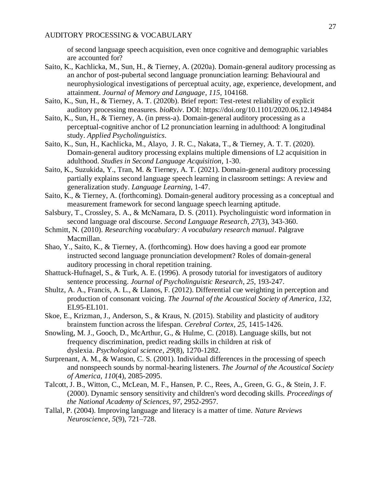of second language speech acquisition, even once cognitive and demographic variables are accounted for?

- Saito, K., Kachlicka, M., Sun, H., & Tierney, A. (2020a). Domain-general auditory processing as an anchor of post-pubertal second language pronunciation learning: Behavioural and neurophysiological investigations of perceptual acuity, age, experience, development, and attainment. *Journal of Memory and Language*, *115*, 104168.
- Saito, K., Sun, H., & Tierney, A. T. (2020b). Brief report: Test-retest reliability of explicit auditory processing measures. *bioRxiv*. DOI: https://doi.org/10.1101/2020.06.12.149484
- Saito, K., Sun, H., & Tierney, A. (in press-a). Domain-general auditory processing as a perceptual-cognitive anchor of L2 pronunciation learning in adulthood: A longitudinal study. *Applied Psycholinguistics*.
- Saito, K., Sun, H., Kachlicka, M., Alayo, J. R. C., Nakata, T., & Tierney, A. T. T. (2020). Domain-general auditory processing explains multiple dimensions of L2 acquisition in adulthood. *Studies in Second Language Acquisition*, 1-30.
- Saito, K., Suzukida, Y., Tran, M. & Tierney, A. T. (2021). Domain-general auditory processing partially explains second language speech learning in classroom settings: A review and generalization study. *Language Learning*, 1-47.
- Saito, K., & Tierney, A. (forthcoming). Domain-general auditory processing as a conceptual and measurement framework for second language speech learning aptitude.
- Salsbury, T., Crossley, S. A., & McNamara, D. S. (2011). Psycholinguistic word information in second language oral discourse. *Second Language Research*, *27*(3), 343-360.
- Schmitt, N. (2010). *Researching vocabulary: A vocabulary research manual*. Palgrave Macmillan.
- Shao, Y., Saito, K., & Tierney, A. (forthcoming). How does having a good ear promote instructed second language pronunciation development? Roles of domain-general auditory processing in choral repetition training.
- Shattuck-Hufnagel, S., & Turk, A. E. (1996). A prosody tutorial for investigators of auditory sentence processing. *Journal of Psycholinguistic Research*, *25*, 193-247.
- Shultz, A. A., Francis, A. L., & Llanos, F. (2012). Differential cue weighting in perception and production of consonant voicing. *The Journal of the Acoustical Society of America*, *132*, EL95-EL101.
- Skoe, E., Krizman, J., Anderson, S., & Kraus, N. (2015). Stability and plasticity of auditory brainstem function across the lifespan. *Cerebral Cortex*, *25*, 1415-1426.
- Snowling, M. J., Gooch, D., McArthur, G., & Hulme, C. (2018). Language skills, but not frequency discrimination, predict reading skills in children at risk of dyslexia. *Psychological science*, *29*(8), 1270-1282.
- Surprenant, A. M., & Watson, C. S. (2001). Individual differences in the processing of speech and nonspeech sounds by normal-hearing listeners. *The Journal of the Acoustical Society of America*, *110*(4), 2085-2095.
- Talcott, J. B., Witton, C., McLean, M. F., Hansen, P. C., Rees, A., Green, G. G., & Stein, J. F. (2000). Dynamic sensory sensitivity and children's word decoding skills. *Proceedings of the National Academy of Sciences*, *97*, 2952-2957.
- Tallal, P. (2004). Improving language and literacy is a matter of time. *Nature Reviews Neuroscience*, *5*(9), 721–728.